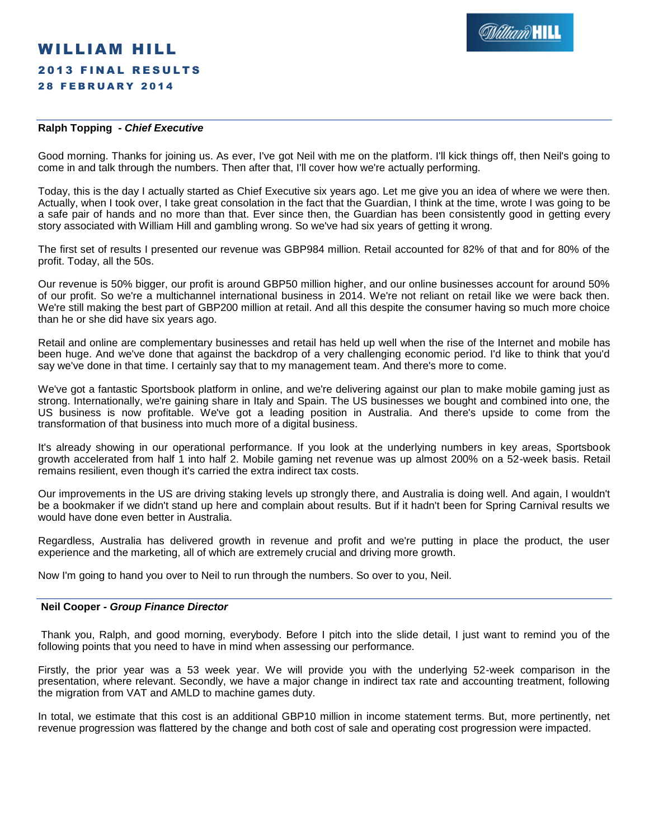# WILLIAM HILL **2013 FINAL RESULTS 28 FEBRUARY 2014**

# **Ralph Topping** *- Chief Executive*

Good morning. Thanks for joining us. As ever, I've got Neil with me on the platform. I'll kick things off, then Neil's going to come in and talk through the numbers. Then after that, I'll cover how we're actually performing.

Today, this is the day I actually started as Chief Executive six years ago. Let me give you an idea of where we were then. Actually, when I took over, I take great consolation in the fact that the Guardian, I think at the time, wrote I was going to be a safe pair of hands and no more than that. Ever since then, the Guardian has been consistently good in getting every story associated with William Hill and gambling wrong. So we've had six years of getting it wrong.

The first set of results I presented our revenue was GBP984 million. Retail accounted for 82% of that and for 80% of the profit. Today, all the 50s.

Our revenue is 50% bigger, our profit is around GBP50 million higher, and our online businesses account for around 50% of our profit. So we're a multichannel international business in 2014. We're not reliant on retail like we were back then. We're still making the best part of GBP200 million at retail. And all this despite the consumer having so much more choice than he or she did have six years ago.

Retail and online are complementary businesses and retail has held up well when the rise of the Internet and mobile has been huge. And we've done that against the backdrop of a very challenging economic period. I'd like to think that you'd say we've done in that time. I certainly say that to my management team. And there's more to come.

We've got a fantastic Sportsbook platform in online, and we're delivering against our plan to make mobile gaming just as strong. Internationally, we're gaining share in Italy and Spain. The US businesses we bought and combined into one, the US business is now profitable. We've got a leading position in Australia. And there's upside to come from the transformation of that business into much more of a digital business.

It's already showing in our operational performance. If you look at the underlying numbers in key areas, Sportsbook growth accelerated from half 1 into half 2. Mobile gaming net revenue was up almost 200% on a 52-week basis. Retail remains resilient, even though it's carried the extra indirect tax costs.

Our improvements in the US are driving staking levels up strongly there, and Australia is doing well. And again, I wouldn't be a bookmaker if we didn't stand up here and complain about results. But if it hadn't been for Spring Carnival results we would have done even better in Australia.

Regardless, Australia has delivered growth in revenue and profit and we're putting in place the product, the user experience and the marketing, all of which are extremely crucial and driving more growth.

Now I'm going to hand you over to Neil to run through the numbers. So over to you, Neil.

# **Neil Cooper** *- Group Finance Director*

Thank you, Ralph, and good morning, everybody. Before I pitch into the slide detail, I just want to remind you of the following points that you need to have in mind when assessing our performance.

Firstly, the prior year was a 53 week year. We will provide you with the underlying 52-week comparison in the presentation, where relevant. Secondly, we have a major change in indirect tax rate and accounting treatment, following the migration from VAT and AMLD to machine games duty.

In total, we estimate that this cost is an additional GBP10 million in income statement terms. But, more pertinently, net revenue progression was flattered by the change and both cost of sale and operating cost progression were impacted.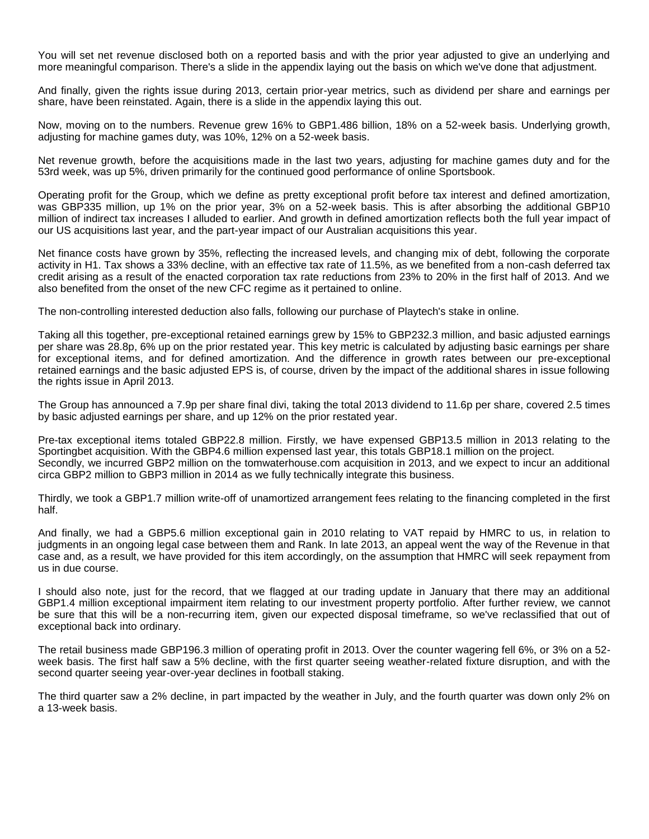You will set net revenue disclosed both on a reported basis and with the prior year adjusted to give an underlying and more meaningful comparison. There's a slide in the appendix laying out the basis on which we've done that adjustment.

And finally, given the rights issue during 2013, certain prior-year metrics, such as dividend per share and earnings per share, have been reinstated. Again, there is a slide in the appendix laying this out.

Now, moving on to the numbers. Revenue grew 16% to GBP1.486 billion, 18% on a 52-week basis. Underlying growth, adjusting for machine games duty, was 10%, 12% on a 52-week basis.

Net revenue growth, before the acquisitions made in the last two years, adjusting for machine games duty and for the 53rd week, was up 5%, driven primarily for the continued good performance of online Sportsbook.

Operating profit for the Group, which we define as pretty exceptional profit before tax interest and defined amortization, was GBP335 million, up 1% on the prior year, 3% on a 52-week basis. This is after absorbing the additional GBP10 million of indirect tax increases I alluded to earlier. And growth in defined amortization reflects both the full year impact of our US acquisitions last year, and the part-year impact of our Australian acquisitions this year.

Net finance costs have grown by 35%, reflecting the increased levels, and changing mix of debt, following the corporate activity in H1. Tax shows a 33% decline, with an effective tax rate of 11.5%, as we benefited from a non-cash deferred tax credit arising as a result of the enacted corporation tax rate reductions from 23% to 20% in the first half of 2013. And we also benefited from the onset of the new CFC regime as it pertained to online.

The non-controlling interested deduction also falls, following our purchase of Playtech's stake in online.

Taking all this together, pre-exceptional retained earnings grew by 15% to GBP232.3 million, and basic adjusted earnings per share was 28.8p, 6% up on the prior restated year. This key metric is calculated by adjusting basic earnings per share for exceptional items, and for defined amortization. And the difference in growth rates between our pre-exceptional retained earnings and the basic adjusted EPS is, of course, driven by the impact of the additional shares in issue following the rights issue in April 2013.

The Group has announced a 7.9p per share final divi, taking the total 2013 dividend to 11.6p per share, covered 2.5 times by basic adjusted earnings per share, and up 12% on the prior restated year.

Pre-tax exceptional items totaled GBP22.8 million. Firstly, we have expensed GBP13.5 million in 2013 relating to the Sportingbet acquisition. With the GBP4.6 million expensed last year, this totals GBP18.1 million on the project. Secondly, we incurred GBP2 million on the tomwaterhouse.com acquisition in 2013, and we expect to incur an additional circa GBP2 million to GBP3 million in 2014 as we fully technically integrate this business.

Thirdly, we took a GBP1.7 million write-off of unamortized arrangement fees relating to the financing completed in the first half.

And finally, we had a GBP5.6 million exceptional gain in 2010 relating to VAT repaid by HMRC to us, in relation to judgments in an ongoing legal case between them and Rank. In late 2013, an appeal went the way of the Revenue in that case and, as a result, we have provided for this item accordingly, on the assumption that HMRC will seek repayment from us in due course.

I should also note, just for the record, that we flagged at our trading update in January that there may an additional GBP1.4 million exceptional impairment item relating to our investment property portfolio. After further review, we cannot be sure that this will be a non-recurring item, given our expected disposal timeframe, so we've reclassified that out of exceptional back into ordinary.

The retail business made GBP196.3 million of operating profit in 2013. Over the counter wagering fell 6%, or 3% on a 52 week basis. The first half saw a 5% decline, with the first quarter seeing weather-related fixture disruption, and with the second quarter seeing year-over-year declines in football staking.

The third quarter saw a 2% decline, in part impacted by the weather in July, and the fourth quarter was down only 2% on a 13-week basis.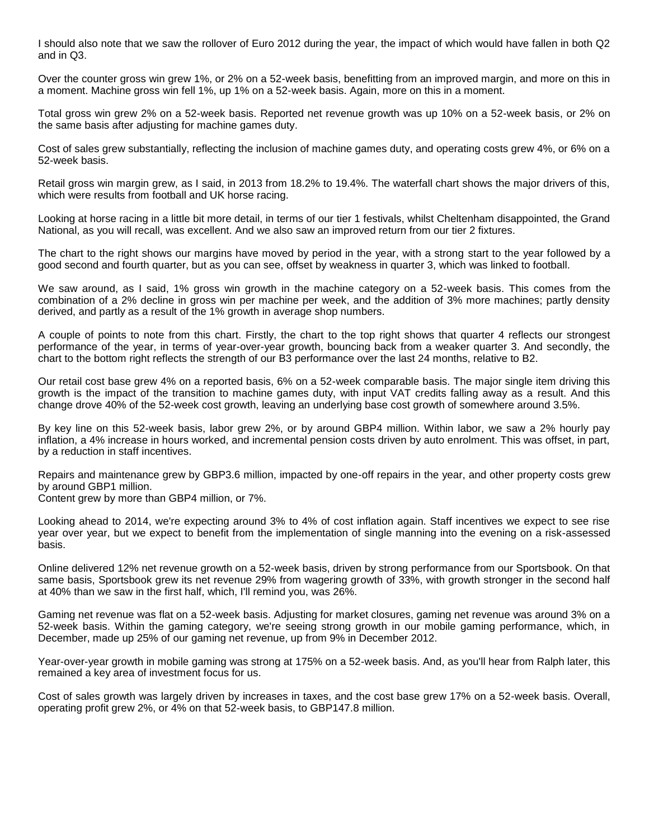I should also note that we saw the rollover of Euro 2012 during the year, the impact of which would have fallen in both Q2 and in Q3.

Over the counter gross win grew 1%, or 2% on a 52-week basis, benefitting from an improved margin, and more on this in a moment. Machine gross win fell 1%, up 1% on a 52-week basis. Again, more on this in a moment.

Total gross win grew 2% on a 52-week basis. Reported net revenue growth was up 10% on a 52-week basis, or 2% on the same basis after adjusting for machine games duty.

Cost of sales grew substantially, reflecting the inclusion of machine games duty, and operating costs grew 4%, or 6% on a 52-week basis.

Retail gross win margin grew, as I said, in 2013 from 18.2% to 19.4%. The waterfall chart shows the major drivers of this, which were results from football and UK horse racing.

Looking at horse racing in a little bit more detail, in terms of our tier 1 festivals, whilst Cheltenham disappointed, the Grand National, as you will recall, was excellent. And we also saw an improved return from our tier 2 fixtures.

The chart to the right shows our margins have moved by period in the year, with a strong start to the year followed by a good second and fourth quarter, but as you can see, offset by weakness in quarter 3, which was linked to football.

We saw around, as I said, 1% gross win growth in the machine category on a 52-week basis. This comes from the combination of a 2% decline in gross win per machine per week, and the addition of 3% more machines; partly density derived, and partly as a result of the 1% growth in average shop numbers.

A couple of points to note from this chart. Firstly, the chart to the top right shows that quarter 4 reflects our strongest performance of the year, in terms of year-over-year growth, bouncing back from a weaker quarter 3. And secondly, the chart to the bottom right reflects the strength of our B3 performance over the last 24 months, relative to B2.

Our retail cost base grew 4% on a reported basis, 6% on a 52-week comparable basis. The major single item driving this growth is the impact of the transition to machine games duty, with input VAT credits falling away as a result. And this change drove 40% of the 52-week cost growth, leaving an underlying base cost growth of somewhere around 3.5%.

By key line on this 52-week basis, labor grew 2%, or by around GBP4 million. Within labor, we saw a 2% hourly pay inflation, a 4% increase in hours worked, and incremental pension costs driven by auto enrolment. This was offset, in part, by a reduction in staff incentives.

Repairs and maintenance grew by GBP3.6 million, impacted by one-off repairs in the year, and other property costs grew by around GBP1 million.

Content grew by more than GBP4 million, or 7%.

Looking ahead to 2014, we're expecting around 3% to 4% of cost inflation again. Staff incentives we expect to see rise year over year, but we expect to benefit from the implementation of single manning into the evening on a risk-assessed basis.

Online delivered 12% net revenue growth on a 52-week basis, driven by strong performance from our Sportsbook. On that same basis, Sportsbook grew its net revenue 29% from wagering growth of 33%, with growth stronger in the second half at 40% than we saw in the first half, which, I'll remind you, was 26%.

Gaming net revenue was flat on a 52-week basis. Adjusting for market closures, gaming net revenue was around 3% on a 52-week basis. Within the gaming category, we're seeing strong growth in our mobile gaming performance, which, in December, made up 25% of our gaming net revenue, up from 9% in December 2012.

Year-over-year growth in mobile gaming was strong at 175% on a 52-week basis. And, as you'll hear from Ralph later, this remained a key area of investment focus for us.

Cost of sales growth was largely driven by increases in taxes, and the cost base grew 17% on a 52-week basis. Overall, operating profit grew 2%, or 4% on that 52-week basis, to GBP147.8 million.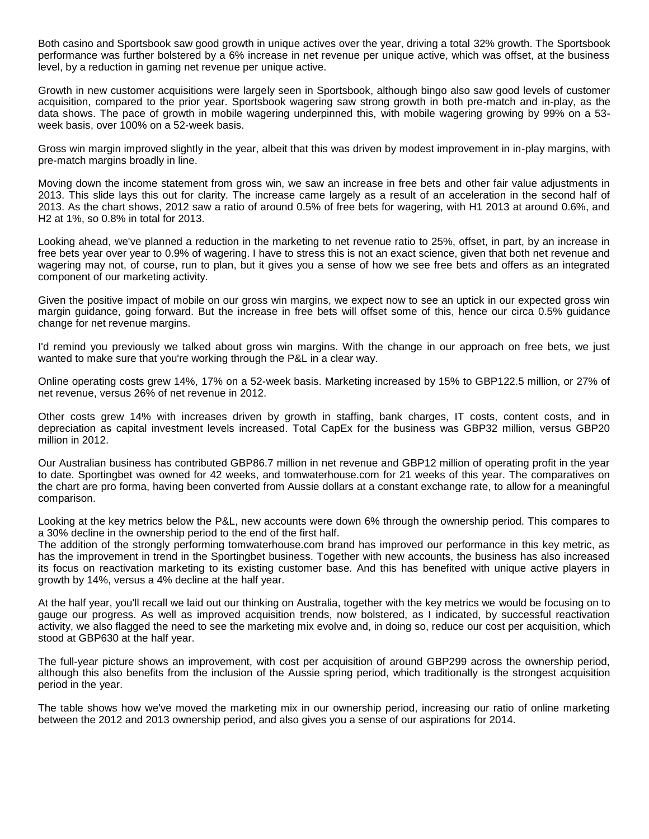Both casino and Sportsbook saw good growth in unique actives over the year, driving a total 32% growth. The Sportsbook performance was further bolstered by a 6% increase in net revenue per unique active, which was offset, at the business level, by a reduction in gaming net revenue per unique active.

Growth in new customer acquisitions were largely seen in Sportsbook, although bingo also saw good levels of customer acquisition, compared to the prior year. Sportsbook wagering saw strong growth in both pre-match and in-play, as the data shows. The pace of growth in mobile wagering underpinned this, with mobile wagering growing by 99% on a 53 week basis, over 100% on a 52-week basis.

Gross win margin improved slightly in the year, albeit that this was driven by modest improvement in in-play margins, with pre-match margins broadly in line.

Moving down the income statement from gross win, we saw an increase in free bets and other fair value adjustments in 2013. This slide lays this out for clarity. The increase came largely as a result of an acceleration in the second half of 2013. As the chart shows, 2012 saw a ratio of around 0.5% of free bets for wagering, with H1 2013 at around 0.6%, and H2 at 1%, so 0.8% in total for 2013.

Looking ahead, we've planned a reduction in the marketing to net revenue ratio to 25%, offset, in part, by an increase in free bets year over year to 0.9% of wagering. I have to stress this is not an exact science, given that both net revenue and wagering may not, of course, run to plan, but it gives you a sense of how we see free bets and offers as an integrated component of our marketing activity.

Given the positive impact of mobile on our gross win margins, we expect now to see an uptick in our expected gross win margin guidance, going forward. But the increase in free bets will offset some of this, hence our circa 0.5% guidance change for net revenue margins.

I'd remind you previously we talked about gross win margins. With the change in our approach on free bets, we just wanted to make sure that you're working through the P&L in a clear way.

Online operating costs grew 14%, 17% on a 52-week basis. Marketing increased by 15% to GBP122.5 million, or 27% of net revenue, versus 26% of net revenue in 2012.

Other costs grew 14% with increases driven by growth in staffing, bank charges, IT costs, content costs, and in depreciation as capital investment levels increased. Total CapEx for the business was GBP32 million, versus GBP20 million in 2012.

Our Australian business has contributed GBP86.7 million in net revenue and GBP12 million of operating profit in the year to date. Sportingbet was owned for 42 weeks, and tomwaterhouse.com for 21 weeks of this year. The comparatives on the chart are pro forma, having been converted from Aussie dollars at a constant exchange rate, to allow for a meaningful comparison.

Looking at the key metrics below the P&L, new accounts were down 6% through the ownership period. This compares to a 30% decline in the ownership period to the end of the first half.

The addition of the strongly performing tomwaterhouse.com brand has improved our performance in this key metric, as has the improvement in trend in the Sportingbet business. Together with new accounts, the business has also increased its focus on reactivation marketing to its existing customer base. And this has benefited with unique active players in growth by 14%, versus a 4% decline at the half year.

At the half year, you'll recall we laid out our thinking on Australia, together with the key metrics we would be focusing on to gauge our progress. As well as improved acquisition trends, now bolstered, as I indicated, by successful reactivation activity, we also flagged the need to see the marketing mix evolve and, in doing so, reduce our cost per acquisition, which stood at GBP630 at the half year.

The full-year picture shows an improvement, with cost per acquisition of around GBP299 across the ownership period, although this also benefits from the inclusion of the Aussie spring period, which traditionally is the strongest acquisition period in the year.

The table shows how we've moved the marketing mix in our ownership period, increasing our ratio of online marketing between the 2012 and 2013 ownership period, and also gives you a sense of our aspirations for 2014.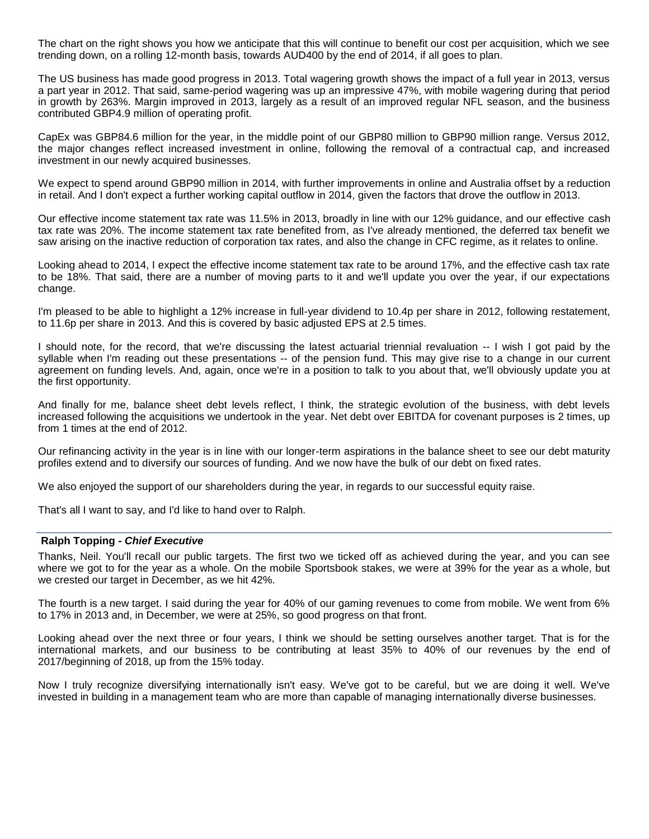The chart on the right shows you how we anticipate that this will continue to benefit our cost per acquisition, which we see trending down, on a rolling 12-month basis, towards AUD400 by the end of 2014, if all goes to plan.

The US business has made good progress in 2013. Total wagering growth shows the impact of a full year in 2013, versus a part year in 2012. That said, same-period wagering was up an impressive 47%, with mobile wagering during that period in growth by 263%. Margin improved in 2013, largely as a result of an improved regular NFL season, and the business contributed GBP4.9 million of operating profit.

CapEx was GBP84.6 million for the year, in the middle point of our GBP80 million to GBP90 million range. Versus 2012, the major changes reflect increased investment in online, following the removal of a contractual cap, and increased investment in our newly acquired businesses.

We expect to spend around GBP90 million in 2014, with further improvements in online and Australia offset by a reduction in retail. And I don't expect a further working capital outflow in 2014, given the factors that drove the outflow in 2013.

Our effective income statement tax rate was 11.5% in 2013, broadly in line with our 12% guidance, and our effective cash tax rate was 20%. The income statement tax rate benefited from, as I've already mentioned, the deferred tax benefit we saw arising on the inactive reduction of corporation tax rates, and also the change in CFC regime, as it relates to online.

Looking ahead to 2014, I expect the effective income statement tax rate to be around 17%, and the effective cash tax rate to be 18%. That said, there are a number of moving parts to it and we'll update you over the year, if our expectations change.

I'm pleased to be able to highlight a 12% increase in full-year dividend to 10.4p per share in 2012, following restatement, to 11.6p per share in 2013. And this is covered by basic adjusted EPS at 2.5 times.

I should note, for the record, that we're discussing the latest actuarial triennial revaluation -- I wish I got paid by the syllable when I'm reading out these presentations -- of the pension fund. This may give rise to a change in our current agreement on funding levels. And, again, once we're in a position to talk to you about that, we'll obviously update you at the first opportunity.

And finally for me, balance sheet debt levels reflect, I think, the strategic evolution of the business, with debt levels increased following the acquisitions we undertook in the year. Net debt over EBITDA for covenant purposes is 2 times, up from 1 times at the end of 2012.

Our refinancing activity in the year is in line with our longer-term aspirations in the balance sheet to see our debt maturity profiles extend and to diversify our sources of funding. And we now have the bulk of our debt on fixed rates.

We also enjoyed the support of our shareholders during the year, in regards to our successful equity raise.

That's all I want to say, and I'd like to hand over to Ralph.

# **Ralph Topping** *- Chief Executive*

Thanks, Neil. You'll recall our public targets. The first two we ticked off as achieved during the year, and you can see where we got to for the year as a whole. On the mobile Sportsbook stakes, we were at 39% for the year as a whole, but we crested our target in December, as we hit 42%.

The fourth is a new target. I said during the year for 40% of our gaming revenues to come from mobile. We went from 6% to 17% in 2013 and, in December, we were at 25%, so good progress on that front.

Looking ahead over the next three or four years, I think we should be setting ourselves another target. That is for the international markets, and our business to be contributing at least 35% to 40% of our revenues by the end of 2017/beginning of 2018, up from the 15% today.

Now I truly recognize diversifying internationally isn't easy. We've got to be careful, but we are doing it well. We've invested in building in a management team who are more than capable of managing internationally diverse businesses.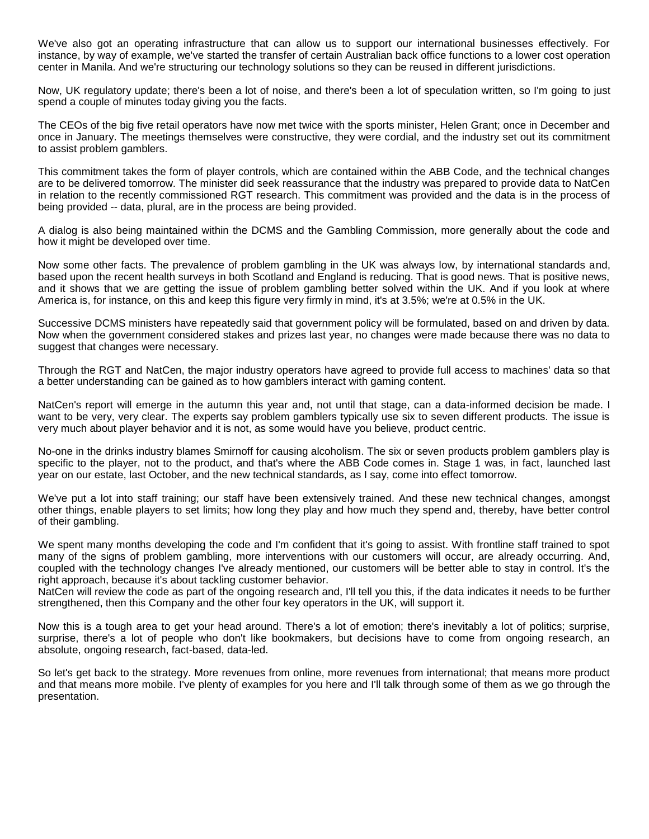We've also got an operating infrastructure that can allow us to support our international businesses effectively. For instance, by way of example, we've started the transfer of certain Australian back office functions to a lower cost operation center in Manila. And we're structuring our technology solutions so they can be reused in different jurisdictions.

Now, UK regulatory update; there's been a lot of noise, and there's been a lot of speculation written, so I'm going to just spend a couple of minutes today giving you the facts.

The CEOs of the big five retail operators have now met twice with the sports minister, Helen Grant; once in December and once in January. The meetings themselves were constructive, they were cordial, and the industry set out its commitment to assist problem gamblers.

This commitment takes the form of player controls, which are contained within the ABB Code, and the technical changes are to be delivered tomorrow. The minister did seek reassurance that the industry was prepared to provide data to NatCen in relation to the recently commissioned RGT research. This commitment was provided and the data is in the process of being provided -- data, plural, are in the process are being provided.

A dialog is also being maintained within the DCMS and the Gambling Commission, more generally about the code and how it might be developed over time.

Now some other facts. The prevalence of problem gambling in the UK was always low, by international standards and, based upon the recent health surveys in both Scotland and England is reducing. That is good news. That is positive news, and it shows that we are getting the issue of problem gambling better solved within the UK. And if you look at where America is, for instance, on this and keep this figure very firmly in mind, it's at 3.5%; we're at 0.5% in the UK.

Successive DCMS ministers have repeatedly said that government policy will be formulated, based on and driven by data. Now when the government considered stakes and prizes last year, no changes were made because there was no data to suggest that changes were necessary.

Through the RGT and NatCen, the major industry operators have agreed to provide full access to machines' data so that a better understanding can be gained as to how gamblers interact with gaming content.

NatCen's report will emerge in the autumn this year and, not until that stage, can a data-informed decision be made. I want to be very, very clear. The experts say problem gamblers typically use six to seven different products. The issue is very much about player behavior and it is not, as some would have you believe, product centric.

No-one in the drinks industry blames Smirnoff for causing alcoholism. The six or seven products problem gamblers play is specific to the player, not to the product, and that's where the ABB Code comes in. Stage 1 was, in fact, launched last year on our estate, last October, and the new technical standards, as I say, come into effect tomorrow.

We've put a lot into staff training; our staff have been extensively trained. And these new technical changes, amongst other things, enable players to set limits; how long they play and how much they spend and, thereby, have better control of their gambling.

We spent many months developing the code and I'm confident that it's going to assist. With frontline staff trained to spot many of the signs of problem gambling, more interventions with our customers will occur, are already occurring. And, coupled with the technology changes I've already mentioned, our customers will be better able to stay in control. It's the right approach, because it's about tackling customer behavior.

NatCen will review the code as part of the ongoing research and, I'll tell you this, if the data indicates it needs to be further strengthened, then this Company and the other four key operators in the UK, will support it.

Now this is a tough area to get your head around. There's a lot of emotion; there's inevitably a lot of politics; surprise, surprise, there's a lot of people who don't like bookmakers, but decisions have to come from ongoing research, an absolute, ongoing research, fact-based, data-led.

So let's get back to the strategy. More revenues from online, more revenues from international; that means more product and that means more mobile. I've plenty of examples for you here and I'll talk through some of them as we go through the presentation.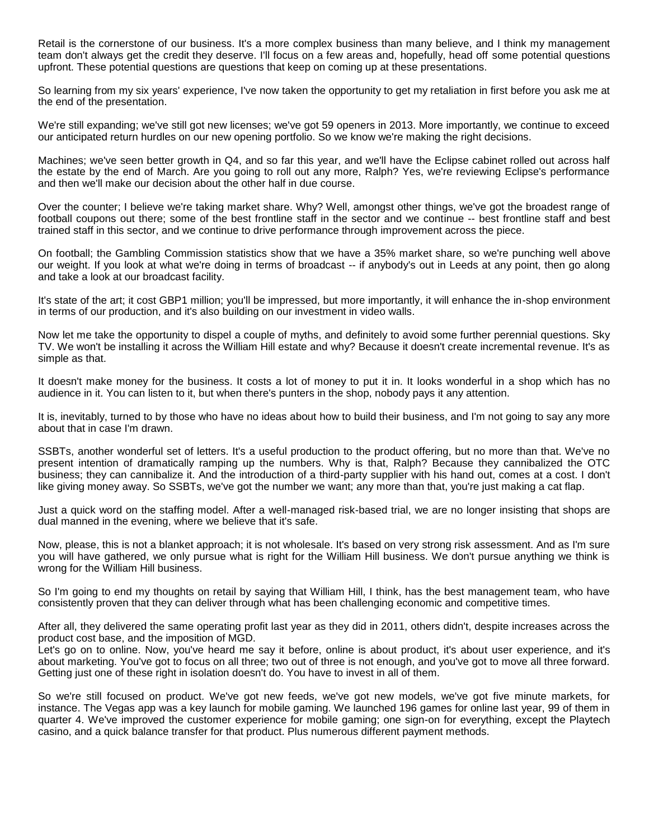Retail is the cornerstone of our business. It's a more complex business than many believe, and I think my management team don't always get the credit they deserve. I'll focus on a few areas and, hopefully, head off some potential questions upfront. These potential questions are questions that keep on coming up at these presentations.

So learning from my six years' experience, I've now taken the opportunity to get my retaliation in first before you ask me at the end of the presentation.

We're still expanding; we've still got new licenses; we've got 59 openers in 2013. More importantly, we continue to exceed our anticipated return hurdles on our new opening portfolio. So we know we're making the right decisions.

Machines; we've seen better growth in Q4, and so far this year, and we'll have the Eclipse cabinet rolled out across half the estate by the end of March. Are you going to roll out any more, Ralph? Yes, we're reviewing Eclipse's performance and then we'll make our decision about the other half in due course.

Over the counter; I believe we're taking market share. Why? Well, amongst other things, we've got the broadest range of football coupons out there; some of the best frontline staff in the sector and we continue -- best frontline staff and best trained staff in this sector, and we continue to drive performance through improvement across the piece.

On football; the Gambling Commission statistics show that we have a 35% market share, so we're punching well above our weight. If you look at what we're doing in terms of broadcast -- if anybody's out in Leeds at any point, then go along and take a look at our broadcast facility.

It's state of the art; it cost GBP1 million; you'll be impressed, but more importantly, it will enhance the in-shop environment in terms of our production, and it's also building on our investment in video walls.

Now let me take the opportunity to dispel a couple of myths, and definitely to avoid some further perennial questions. Sky TV. We won't be installing it across the William Hill estate and why? Because it doesn't create incremental revenue. It's as simple as that.

It doesn't make money for the business. It costs a lot of money to put it in. It looks wonderful in a shop which has no audience in it. You can listen to it, but when there's punters in the shop, nobody pays it any attention.

It is, inevitably, turned to by those who have no ideas about how to build their business, and I'm not going to say any more about that in case I'm drawn.

SSBTs, another wonderful set of letters. It's a useful production to the product offering, but no more than that. We've no present intention of dramatically ramping up the numbers. Why is that, Ralph? Because they cannibalized the OTC business; they can cannibalize it. And the introduction of a third-party supplier with his hand out, comes at a cost. I don't like giving money away. So SSBTs, we've got the number we want; any more than that, you're just making a cat flap.

Just a quick word on the staffing model. After a well-managed risk-based trial, we are no longer insisting that shops are dual manned in the evening, where we believe that it's safe.

Now, please, this is not a blanket approach; it is not wholesale. It's based on very strong risk assessment. And as I'm sure you will have gathered, we only pursue what is right for the William Hill business. We don't pursue anything we think is wrong for the William Hill business.

So I'm going to end my thoughts on retail by saying that William Hill, I think, has the best management team, who have consistently proven that they can deliver through what has been challenging economic and competitive times.

After all, they delivered the same operating profit last year as they did in 2011, others didn't, despite increases across the product cost base, and the imposition of MGD.

Let's go on to online. Now, you've heard me say it before, online is about product, it's about user experience, and it's about marketing. You've got to focus on all three; two out of three is not enough, and you've got to move all three forward. Getting just one of these right in isolation doesn't do. You have to invest in all of them.

So we're still focused on product. We've got new feeds, we've got new models, we've got five minute markets, for instance. The Vegas app was a key launch for mobile gaming. We launched 196 games for online last year, 99 of them in quarter 4. We've improved the customer experience for mobile gaming; one sign-on for everything, except the Playtech casino, and a quick balance transfer for that product. Plus numerous different payment methods.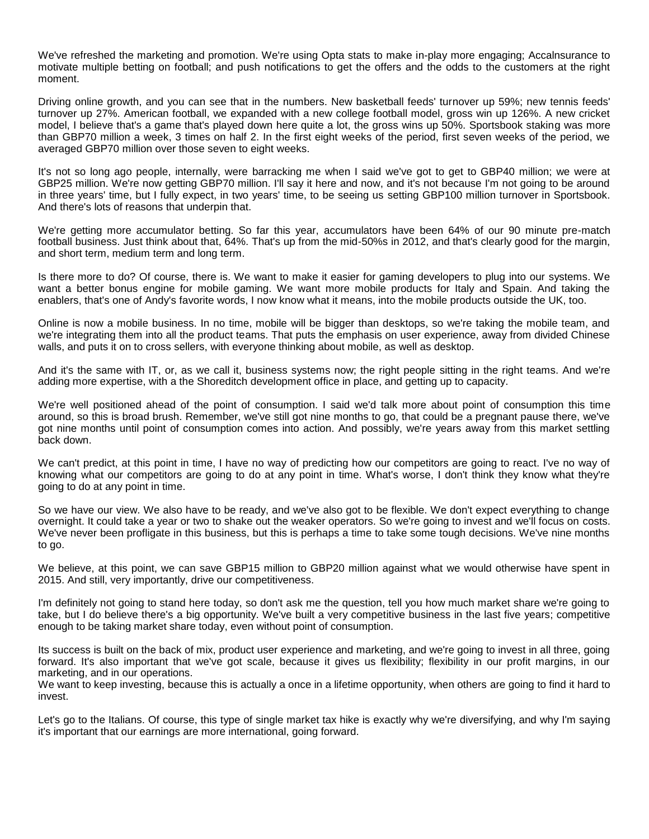We've refreshed the marketing and promotion. We're using Opta stats to make in-play more engaging; Accalnsurance to motivate multiple betting on football; and push notifications to get the offers and the odds to the customers at the right moment.

Driving online growth, and you can see that in the numbers. New basketball feeds' turnover up 59%; new tennis feeds' turnover up 27%. American football, we expanded with a new college football model, gross win up 126%. A new cricket model, I believe that's a game that's played down here quite a lot, the gross wins up 50%. Sportsbook staking was more than GBP70 million a week, 3 times on half 2. In the first eight weeks of the period, first seven weeks of the period, we averaged GBP70 million over those seven to eight weeks.

It's not so long ago people, internally, were barracking me when I said we've got to get to GBP40 million; we were at GBP25 million. We're now getting GBP70 million. I'll say it here and now, and it's not because I'm not going to be around in three years' time, but I fully expect, in two years' time, to be seeing us setting GBP100 million turnover in Sportsbook. And there's lots of reasons that underpin that.

We're getting more accumulator betting. So far this year, accumulators have been 64% of our 90 minute pre-match football business. Just think about that, 64%. That's up from the mid-50%s in 2012, and that's clearly good for the margin, and short term, medium term and long term.

Is there more to do? Of course, there is. We want to make it easier for gaming developers to plug into our systems. We want a better bonus engine for mobile gaming. We want more mobile products for Italy and Spain. And taking the enablers, that's one of Andy's favorite words, I now know what it means, into the mobile products outside the UK, too.

Online is now a mobile business. In no time, mobile will be bigger than desktops, so we're taking the mobile team, and we're integrating them into all the product teams. That puts the emphasis on user experience, away from divided Chinese walls, and puts it on to cross sellers, with everyone thinking about mobile, as well as desktop.

And it's the same with IT, or, as we call it, business systems now; the right people sitting in the right teams. And we're adding more expertise, with a the Shoreditch development office in place, and getting up to capacity.

We're well positioned ahead of the point of consumption. I said we'd talk more about point of consumption this time around, so this is broad brush. Remember, we've still got nine months to go, that could be a pregnant pause there, we've got nine months until point of consumption comes into action. And possibly, we're years away from this market settling back down.

We can't predict, at this point in time, I have no way of predicting how our competitors are going to react. I've no way of knowing what our competitors are going to do at any point in time. What's worse, I don't think they know what they're going to do at any point in time.

So we have our view. We also have to be ready, and we've also got to be flexible. We don't expect everything to change overnight. It could take a year or two to shake out the weaker operators. So we're going to invest and we'll focus on costs. We've never been profligate in this business, but this is perhaps a time to take some tough decisions. We've nine months to go.

We believe, at this point, we can save GBP15 million to GBP20 million against what we would otherwise have spent in 2015. And still, very importantly, drive our competitiveness.

I'm definitely not going to stand here today, so don't ask me the question, tell you how much market share we're going to take, but I do believe there's a big opportunity. We've built a very competitive business in the last five years; competitive enough to be taking market share today, even without point of consumption.

Its success is built on the back of mix, product user experience and marketing, and we're going to invest in all three, going forward. It's also important that we've got scale, because it gives us flexibility; flexibility in our profit margins, in our marketing, and in our operations.

We want to keep investing, because this is actually a once in a lifetime opportunity, when others are going to find it hard to invest.

Let's go to the Italians. Of course, this type of single market tax hike is exactly why we're diversifying, and why I'm saying it's important that our earnings are more international, going forward.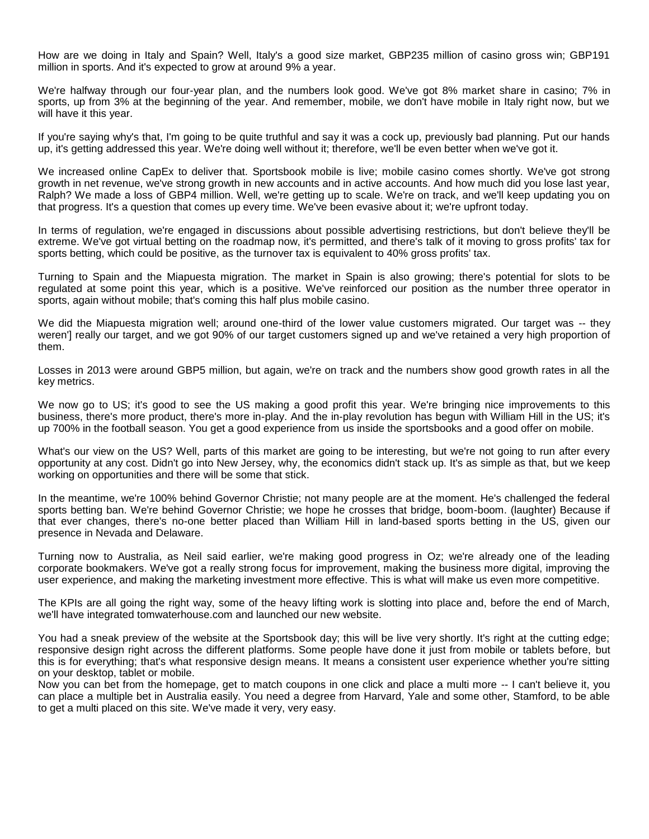How are we doing in Italy and Spain? Well, Italy's a good size market, GBP235 million of casino gross win; GBP191 million in sports. And it's expected to grow at around 9% a year.

We're halfway through our four-year plan, and the numbers look good. We've got 8% market share in casino; 7% in sports, up from 3% at the beginning of the year. And remember, mobile, we don't have mobile in Italy right now, but we will have it this year.

If you're saying why's that, I'm going to be quite truthful and say it was a cock up, previously bad planning. Put our hands up, it's getting addressed this year. We're doing well without it; therefore, we'll be even better when we've got it.

We increased online CapEx to deliver that. Sportsbook mobile is live; mobile casino comes shortly. We've got strong growth in net revenue, we've strong growth in new accounts and in active accounts. And how much did you lose last year, Ralph? We made a loss of GBP4 million. Well, we're getting up to scale. We're on track, and we'll keep updating you on that progress. It's a question that comes up every time. We've been evasive about it; we're upfront today.

In terms of regulation, we're engaged in discussions about possible advertising restrictions, but don't believe they'll be extreme. We've got virtual betting on the roadmap now, it's permitted, and there's talk of it moving to gross profits' tax for sports betting, which could be positive, as the turnover tax is equivalent to 40% gross profits' tax.

Turning to Spain and the Miapuesta migration. The market in Spain is also growing; there's potential for slots to be regulated at some point this year, which is a positive. We've reinforced our position as the number three operator in sports, again without mobile; that's coming this half plus mobile casino.

We did the Miapuesta migration well; around one-third of the lower value customers migrated. Our target was -- they weren'] really our target, and we got 90% of our target customers signed up and we've retained a very high proportion of them.

Losses in 2013 were around GBP5 million, but again, we're on track and the numbers show good growth rates in all the key metrics.

We now go to US; it's good to see the US making a good profit this year. We're bringing nice improvements to this business, there's more product, there's more in-play. And the in-play revolution has begun with William Hill in the US; it's up 700% in the football season. You get a good experience from us inside the sportsbooks and a good offer on mobile.

What's our view on the US? Well, parts of this market are going to be interesting, but we're not going to run after every opportunity at any cost. Didn't go into New Jersey, why, the economics didn't stack up. It's as simple as that, but we keep working on opportunities and there will be some that stick.

In the meantime, we're 100% behind Governor Christie; not many people are at the moment. He's challenged the federal sports betting ban. We're behind Governor Christie; we hope he crosses that bridge, boom-boom. (laughter) Because if that ever changes, there's no-one better placed than William Hill in land-based sports betting in the US, given our presence in Nevada and Delaware.

Turning now to Australia, as Neil said earlier, we're making good progress in Oz; we're already one of the leading corporate bookmakers. We've got a really strong focus for improvement, making the business more digital, improving the user experience, and making the marketing investment more effective. This is what will make us even more competitive.

The KPIs are all going the right way, some of the heavy lifting work is slotting into place and, before the end of March, we'll have integrated tomwaterhouse.com and launched our new website.

You had a sneak preview of the website at the Sportsbook day; this will be live very shortly. It's right at the cutting edge; responsive design right across the different platforms. Some people have done it just from mobile or tablets before, but this is for everything; that's what responsive design means. It means a consistent user experience whether you're sitting on your desktop, tablet or mobile.

Now you can bet from the homepage, get to match coupons in one click and place a multi more -- I can't believe it, you can place a multiple bet in Australia easily. You need a degree from Harvard, Yale and some other, Stamford, to be able to get a multi placed on this site. We've made it very, very easy.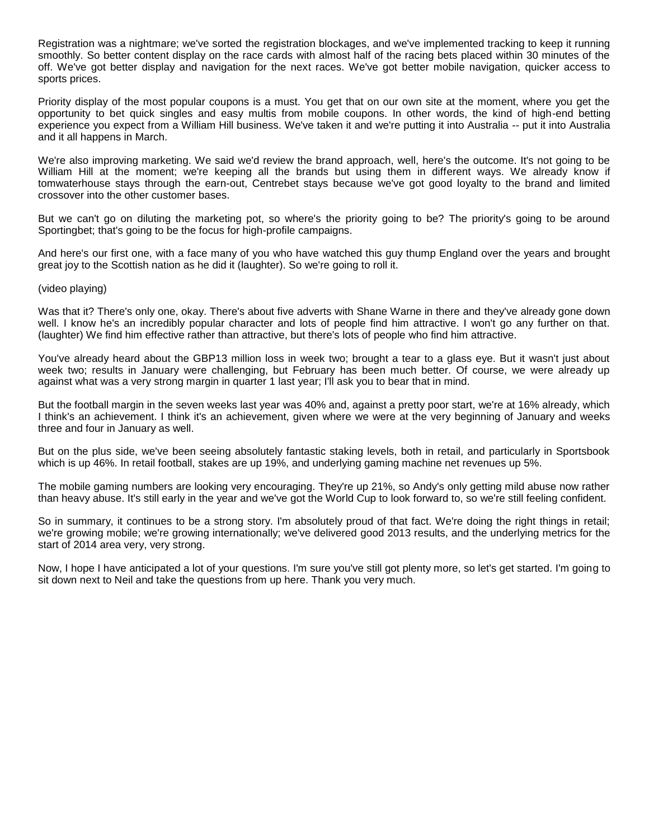Registration was a nightmare; we've sorted the registration blockages, and we've implemented tracking to keep it running smoothly. So better content display on the race cards with almost half of the racing bets placed within 30 minutes of the off. We've got better display and navigation for the next races. We've got better mobile navigation, quicker access to sports prices.

Priority display of the most popular coupons is a must. You get that on our own site at the moment, where you get the opportunity to bet quick singles and easy multis from mobile coupons. In other words, the kind of high-end betting experience you expect from a William Hill business. We've taken it and we're putting it into Australia -- put it into Australia and it all happens in March.

We're also improving marketing. We said we'd review the brand approach, well, here's the outcome. It's not going to be William Hill at the moment; we're keeping all the brands but using them in different ways. We already know if tomwaterhouse stays through the earn-out, Centrebet stays because we've got good loyalty to the brand and limited crossover into the other customer bases.

But we can't go on diluting the marketing pot, so where's the priority going to be? The priority's going to be around Sportingbet; that's going to be the focus for high-profile campaigns.

And here's our first one, with a face many of you who have watched this guy thump England over the years and brought great joy to the Scottish nation as he did it (laughter). So we're going to roll it.

(video playing)

Was that it? There's only one, okay. There's about five adverts with Shane Warne in there and they've already gone down well. I know he's an incredibly popular character and lots of people find him attractive. I won't go any further on that. (laughter) We find him effective rather than attractive, but there's lots of people who find him attractive.

You've already heard about the GBP13 million loss in week two; brought a tear to a glass eye. But it wasn't just about week two; results in January were challenging, but February has been much better. Of course, we were already up against what was a very strong margin in quarter 1 last year; I'll ask you to bear that in mind.

But the football margin in the seven weeks last year was 40% and, against a pretty poor start, we're at 16% already, which I think's an achievement. I think it's an achievement, given where we were at the very beginning of January and weeks three and four in January as well.

But on the plus side, we've been seeing absolutely fantastic staking levels, both in retail, and particularly in Sportsbook which is up 46%. In retail football, stakes are up 19%, and underlying gaming machine net revenues up 5%.

The mobile gaming numbers are looking very encouraging. They're up 21%, so Andy's only getting mild abuse now rather than heavy abuse. It's still early in the year and we've got the World Cup to look forward to, so we're still feeling confident.

So in summary, it continues to be a strong story. I'm absolutely proud of that fact. We're doing the right things in retail; we're growing mobile; we're growing internationally; we've delivered good 2013 results, and the underlying metrics for the start of 2014 area very, very strong.

Now, I hope I have anticipated a lot of your questions. I'm sure you've still got plenty more, so let's get started. I'm going to sit down next to Neil and take the questions from up here. Thank you very much.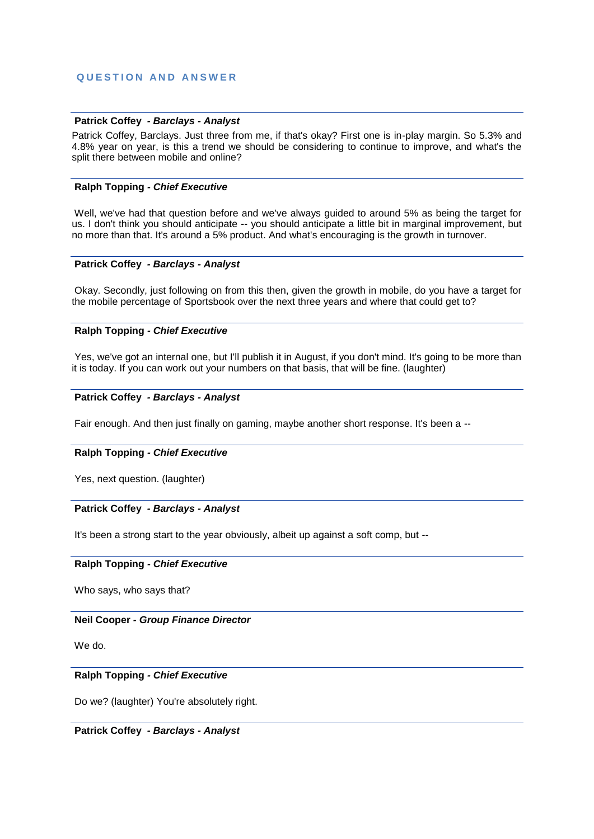# **Q U E S T I O N A N D A N S W E R**

## **Patrick Coffey** *- Barclays - Analyst*

Patrick Coffey, Barclays. Just three from me, if that's okay? First one is in-play margin. So 5.3% and 4.8% year on year, is this a trend we should be considering to continue to improve, and what's the split there between mobile and online?

## **Ralph Topping** *- Chief Executive*

Well, we've had that question before and we've always guided to around 5% as being the target for us. I don't think you should anticipate -- you should anticipate a little bit in marginal improvement, but no more than that. It's around a 5% product. And what's encouraging is the growth in turnover.

## **Patrick Coffey** *- Barclays - Analyst*

Okay. Secondly, just following on from this then, given the growth in mobile, do you have a target for the mobile percentage of Sportsbook over the next three years and where that could get to?

## **Ralph Topping** *- Chief Executive*

Yes, we've got an internal one, but I'll publish it in August, if you don't mind. It's going to be more than it is today. If you can work out your numbers on that basis, that will be fine. (laughter)

## **Patrick Coffey** *- Barclays - Analyst*

Fair enough. And then just finally on gaming, maybe another short response. It's been a --

# **Ralph Topping** *- Chief Executive*

Yes, next question. (laughter)

# **Patrick Coffey** *- Barclays - Analyst*

It's been a strong start to the year obviously, albeit up against a soft comp, but --

# **Ralph Topping** *- Chief Executive*

Who says, who says that?

# **Neil Cooper** *- Group Finance Director*

We do.

# **Ralph Topping** *- Chief Executive*

Do we? (laughter) You're absolutely right.

**Patrick Coffey** *- Barclays - Analyst*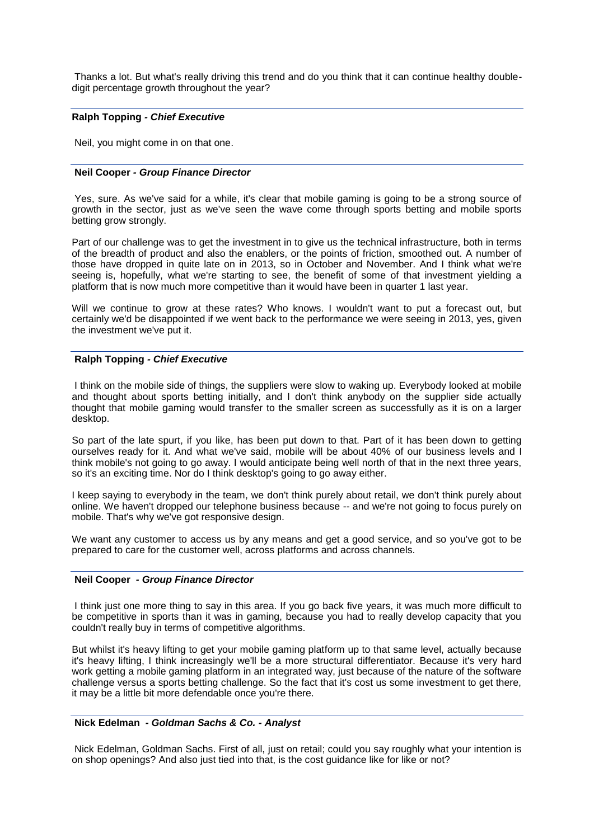Thanks a lot. But what's really driving this trend and do you think that it can continue healthy doubledigit percentage growth throughout the year?

## **Ralph Topping** *- Chief Executive*

Neil, you might come in on that one.

## **Neil Cooper** *- Group Finance Director*

Yes, sure. As we've said for a while, it's clear that mobile gaming is going to be a strong source of growth in the sector, just as we've seen the wave come through sports betting and mobile sports betting grow strongly.

Part of our challenge was to get the investment in to give us the technical infrastructure, both in terms of the breadth of product and also the enablers, or the points of friction, smoothed out. A number of those have dropped in quite late on in 2013, so in October and November. And I think what we're seeing is, hopefully, what we're starting to see, the benefit of some of that investment yielding a platform that is now much more competitive than it would have been in quarter 1 last year.

Will we continue to grow at these rates? Who knows. I wouldn't want to put a forecast out, but certainly we'd be disappointed if we went back to the performance we were seeing in 2013, yes, given the investment we've put it.

## **Ralph Topping** *- Chief Executive*

I think on the mobile side of things, the suppliers were slow to waking up. Everybody looked at mobile and thought about sports betting initially, and I don't think anybody on the supplier side actually thought that mobile gaming would transfer to the smaller screen as successfully as it is on a larger desktop.

So part of the late spurt, if you like, has been put down to that. Part of it has been down to getting ourselves ready for it. And what we've said, mobile will be about 40% of our business levels and I think mobile's not going to go away. I would anticipate being well north of that in the next three years, so it's an exciting time. Nor do I think desktop's going to go away either.

I keep saying to everybody in the team, we don't think purely about retail, we don't think purely about online. We haven't dropped our telephone business because -- and we're not going to focus purely on mobile. That's why we've got responsive design.

We want any customer to access us by any means and get a good service, and so you've got to be prepared to care for the customer well, across platforms and across channels.

#### **Neil Cooper** *- Group Finance Director*

I think just one more thing to say in this area. If you go back five years, it was much more difficult to be competitive in sports than it was in gaming, because you had to really develop capacity that you couldn't really buy in terms of competitive algorithms.

But whilst it's heavy lifting to get your mobile gaming platform up to that same level, actually because it's heavy lifting, I think increasingly we'll be a more structural differentiator. Because it's very hard work getting a mobile gaming platform in an integrated way, just because of the nature of the software challenge versus a sports betting challenge. So the fact that it's cost us some investment to get there, it may be a little bit more defendable once you're there.

#### **Nick Edelman** *- Goldman Sachs & Co. - Analyst*

Nick Edelman, Goldman Sachs. First of all, just on retail; could you say roughly what your intention is on shop openings? And also just tied into that, is the cost guidance like for like or not?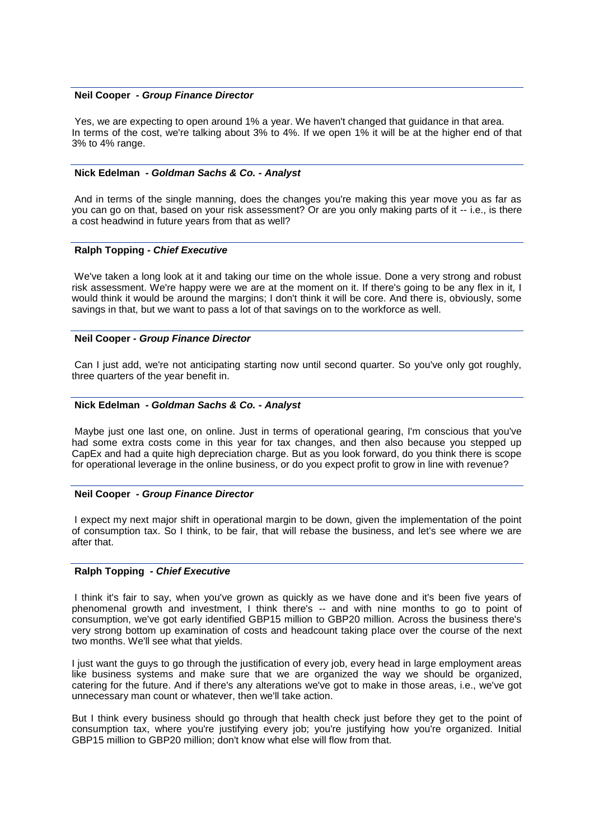## **Neil Cooper** *- Group Finance Director*

Yes, we are expecting to open around 1% a year. We haven't changed that guidance in that area. In terms of the cost, we're talking about 3% to 4%. If we open 1% it will be at the higher end of that 3% to 4% range.

## **Nick Edelman** *- Goldman Sachs & Co. - Analyst*

And in terms of the single manning, does the changes you're making this year move you as far as you can go on that, based on your risk assessment? Or are you only making parts of it -- i.e., is there a cost headwind in future years from that as well?

## **Ralph Topping** *- Chief Executive*

We've taken a long look at it and taking our time on the whole issue. Done a very strong and robust risk assessment. We're happy were we are at the moment on it. If there's going to be any flex in it, I would think it would be around the margins; I don't think it will be core. And there is, obviously, some savings in that, but we want to pass a lot of that savings on to the workforce as well.

# **Neil Cooper** *- Group Finance Director*

Can I just add, we're not anticipating starting now until second quarter. So you've only got roughly, three quarters of the year benefit in.

## **Nick Edelman** *- Goldman Sachs & Co. - Analyst*

Maybe just one last one, on online. Just in terms of operational gearing, I'm conscious that you've had some extra costs come in this year for tax changes, and then also because you stepped up CapEx and had a quite high depreciation charge. But as you look forward, do you think there is scope for operational leverage in the online business, or do you expect profit to grow in line with revenue?

#### **Neil Cooper** *- Group Finance Director*

I expect my next major shift in operational margin to be down, given the implementation of the point of consumption tax. So I think, to be fair, that will rebase the business, and let's see where we are after that.

# **Ralph Topping** *- Chief Executive*

I think it's fair to say, when you've grown as quickly as we have done and it's been five years of phenomenal growth and investment, I think there's -- and with nine months to go to point of consumption, we've got early identified GBP15 million to GBP20 million. Across the business there's very strong bottom up examination of costs and headcount taking place over the course of the next two months. We'll see what that yields.

I just want the guys to go through the justification of every job, every head in large employment areas like business systems and make sure that we are organized the way we should be organized, catering for the future. And if there's any alterations we've got to make in those areas, i.e., we've got unnecessary man count or whatever, then we'll take action.

But I think every business should go through that health check just before they get to the point of consumption tax, where you're justifying every job; you're justifying how you're organized. Initial GBP15 million to GBP20 million; don't know what else will flow from that.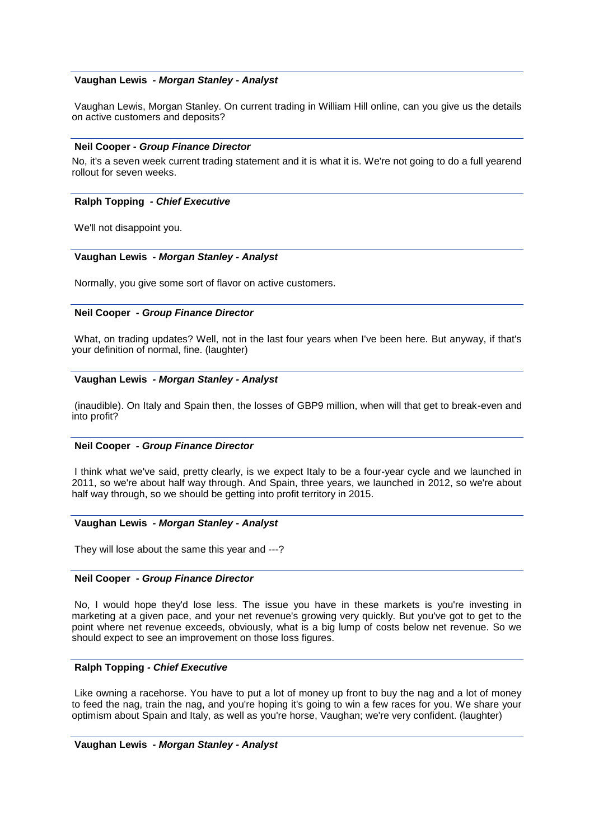# **Vaughan Lewis** *- Morgan Stanley - Analyst*

Vaughan Lewis, Morgan Stanley. On current trading in William Hill online, can you give us the details on active customers and deposits?

## **Neil Cooper** *- Group Finance Director*

No, it's a seven week current trading statement and it is what it is. We're not going to do a full yearend rollout for seven weeks.

# **Ralph Topping** *- Chief Executive*

We'll not disappoint you.

# **Vaughan Lewis** *- Morgan Stanley - Analyst*

Normally, you give some sort of flavor on active customers.

## **Neil Cooper** *- Group Finance Director*

What, on trading updates? Well, not in the last four years when I've been here. But anyway, if that's your definition of normal, fine. (laughter)

## **Vaughan Lewis** *- Morgan Stanley - Analyst*

(inaudible). On Italy and Spain then, the losses of GBP9 million, when will that get to break-even and into profit?

# **Neil Cooper** *- Group Finance Director*

I think what we've said, pretty clearly, is we expect Italy to be a four-year cycle and we launched in 2011, so we're about half way through. And Spain, three years, we launched in 2012, so we're about half way through, so we should be getting into profit territory in 2015.

#### **Vaughan Lewis** *- Morgan Stanley - Analyst*

They will lose about the same this year and ---?

#### **Neil Cooper** *- Group Finance Director*

No, I would hope they'd lose less. The issue you have in these markets is you're investing in marketing at a given pace, and your net revenue's growing very quickly. But you've got to get to the point where net revenue exceeds, obviously, what is a big lump of costs below net revenue. So we should expect to see an improvement on those loss figures.

# **Ralph Topping** *- Chief Executive*

Like owning a racehorse. You have to put a lot of money up front to buy the nag and a lot of money to feed the nag, train the nag, and you're hoping it's going to win a few races for you. We share your optimism about Spain and Italy, as well as you're horse, Vaughan; we're very confident. (laughter)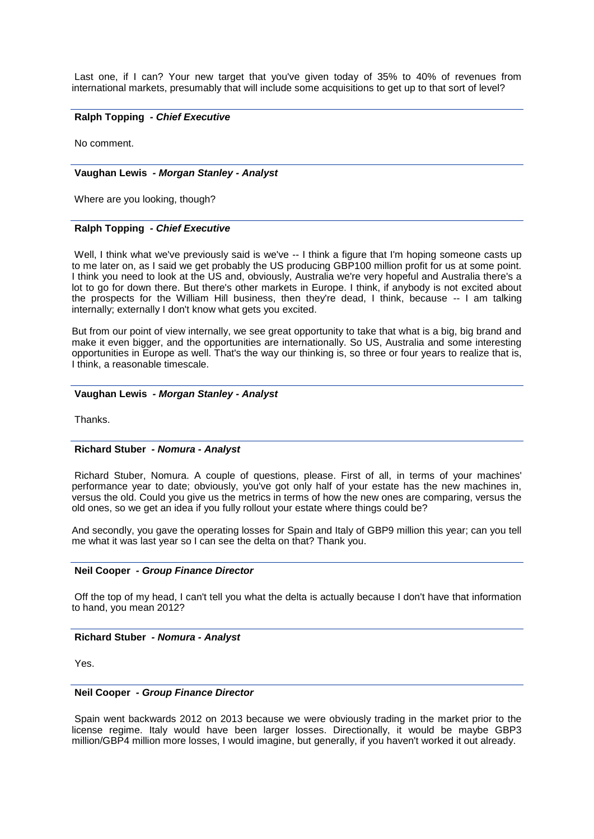Last one, if I can? Your new target that you've given today of 35% to 40% of revenues from international markets, presumably that will include some acquisitions to get up to that sort of level?

## **Ralph Topping** *- Chief Executive*

No comment.

#### **Vaughan Lewis** *- Morgan Stanley - Analyst*

Where are you looking, though?

## **Ralph Topping** *- Chief Executive*

Well, I think what we've previously said is we've -- I think a figure that I'm hoping someone casts up to me later on, as I said we get probably the US producing GBP100 million profit for us at some point. I think you need to look at the US and, obviously, Australia we're very hopeful and Australia there's a lot to go for down there. But there's other markets in Europe. I think, if anybody is not excited about the prospects for the William Hill business, then they're dead, I think, because -- I am talking internally; externally I don't know what gets you excited.

But from our point of view internally, we see great opportunity to take that what is a big, big brand and make it even bigger, and the opportunities are internationally. So US, Australia and some interesting opportunities in Europe as well. That's the way our thinking is, so three or four years to realize that is, I think, a reasonable timescale.

## **Vaughan Lewis** *- Morgan Stanley - Analyst*

Thanks.

## **Richard Stuber** *- Nomura - Analyst*

Richard Stuber, Nomura. A couple of questions, please. First of all, in terms of your machines' performance year to date; obviously, you've got only half of your estate has the new machines in, versus the old. Could you give us the metrics in terms of how the new ones are comparing, versus the old ones, so we get an idea if you fully rollout your estate where things could be?

And secondly, you gave the operating losses for Spain and Italy of GBP9 million this year; can you tell me what it was last year so I can see the delta on that? Thank you.

#### **Neil Cooper** *- Group Finance Director*

Off the top of my head, I can't tell you what the delta is actually because I don't have that information to hand, you mean 2012?

# **Richard Stuber** *- Nomura - Analyst*

Yes.

#### **Neil Cooper** *- Group Finance Director*

Spain went backwards 2012 on 2013 because we were obviously trading in the market prior to the license regime. Italy would have been larger losses. Directionally, it would be maybe GBP3 million/GBP4 million more losses, I would imagine, but generally, if you haven't worked it out already.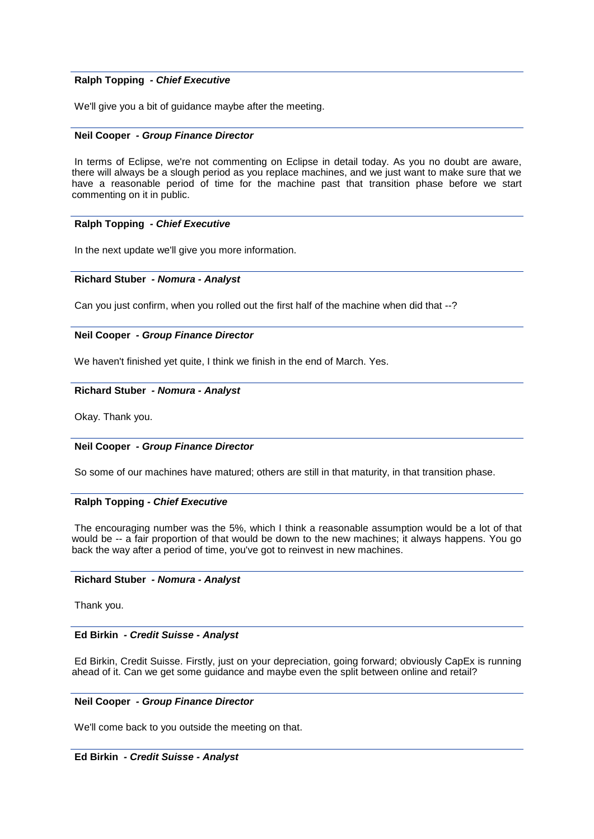# **Ralph Topping** *- Chief Executive*

We'll give you a bit of guidance maybe after the meeting.

## **Neil Cooper** *- Group Finance Director*

In terms of Eclipse, we're not commenting on Eclipse in detail today. As you no doubt are aware, there will always be a slough period as you replace machines, and we just want to make sure that we have a reasonable period of time for the machine past that transition phase before we start commenting on it in public.

# **Ralph Topping** *- Chief Executive*

In the next update we'll give you more information.

## **Richard Stuber** *- Nomura - Analyst*

Can you just confirm, when you rolled out the first half of the machine when did that --?

# **Neil Cooper** *- Group Finance Director*

We haven't finished yet quite, I think we finish in the end of March. Yes.

# **Richard Stuber** *- Nomura - Analyst*

Okay. Thank you.

# **Neil Cooper** *- Group Finance Director*

So some of our machines have matured; others are still in that maturity, in that transition phase.

# **Ralph Topping** *- Chief Executive*

The encouraging number was the 5%, which I think a reasonable assumption would be a lot of that would be -- a fair proportion of that would be down to the new machines; it always happens. You go back the way after a period of time, you've got to reinvest in new machines.

# **Richard Stuber** *- Nomura - Analyst*

Thank you.

#### **Ed Birkin** *- Credit Suisse - Analyst*

Ed Birkin, Credit Suisse. Firstly, just on your depreciation, going forward; obviously CapEx is running ahead of it. Can we get some guidance and maybe even the split between online and retail?

# **Neil Cooper** *- Group Finance Director*

We'll come back to you outside the meeting on that.

#### **Ed Birkin** *- Credit Suisse - Analyst*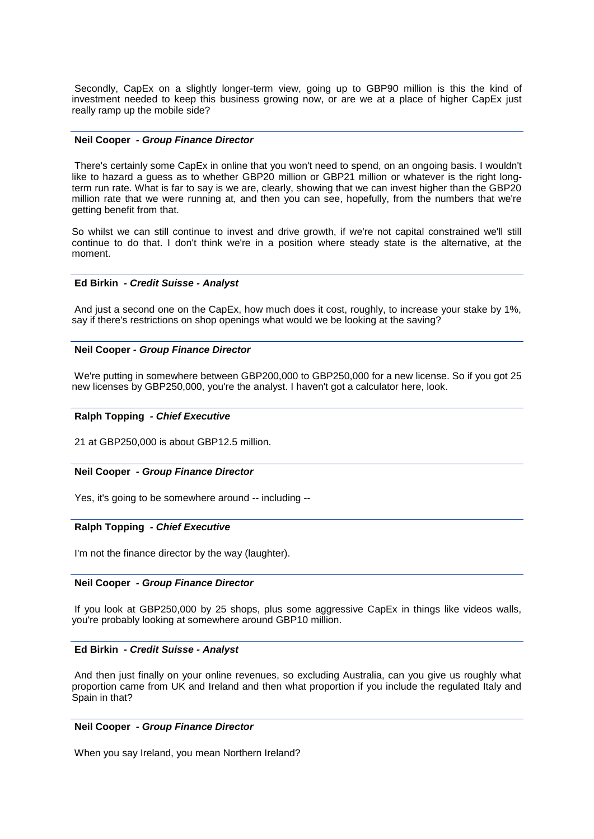Secondly, CapEx on a slightly longer-term view, going up to GBP90 million is this the kind of investment needed to keep this business growing now, or are we at a place of higher CapEx just really ramp up the mobile side?

#### **Neil Cooper** *- Group Finance Director*

There's certainly some CapEx in online that you won't need to spend, on an ongoing basis. I wouldn't like to hazard a guess as to whether GBP20 million or GBP21 million or whatever is the right longterm run rate. What is far to say is we are, clearly, showing that we can invest higher than the GBP20 million rate that we were running at, and then you can see, hopefully, from the numbers that we're getting benefit from that.

So whilst we can still continue to invest and drive growth, if we're not capital constrained we'll still continue to do that. I don't think we're in a position where steady state is the alternative, at the moment.

## **Ed Birkin** *- Credit Suisse - Analyst*

And just a second one on the CapEx, how much does it cost, roughly, to increase your stake by 1%, say if there's restrictions on shop openings what would we be looking at the saving?

## **Neil Cooper** *- Group Finance Director*

We're putting in somewhere between GBP200,000 to GBP250,000 for a new license. So if you got 25 new licenses by GBP250,000, you're the analyst. I haven't got a calculator here, look.

#### **Ralph Topping** *- Chief Executive*

21 at GBP250,000 is about GBP12.5 million.

#### **Neil Cooper** *- Group Finance Director*

Yes, it's going to be somewhere around -- including --

## **Ralph Topping** *- Chief Executive*

I'm not the finance director by the way (laughter).

#### **Neil Cooper** *- Group Finance Director*

If you look at GBP250,000 by 25 shops, plus some aggressive CapEx in things like videos walls, you're probably looking at somewhere around GBP10 million.

## **Ed Birkin** *- Credit Suisse - Analyst*

And then just finally on your online revenues, so excluding Australia, can you give us roughly what proportion came from UK and Ireland and then what proportion if you include the regulated Italy and Spain in that?

#### **Neil Cooper** *- Group Finance Director*

When you say Ireland, you mean Northern Ireland?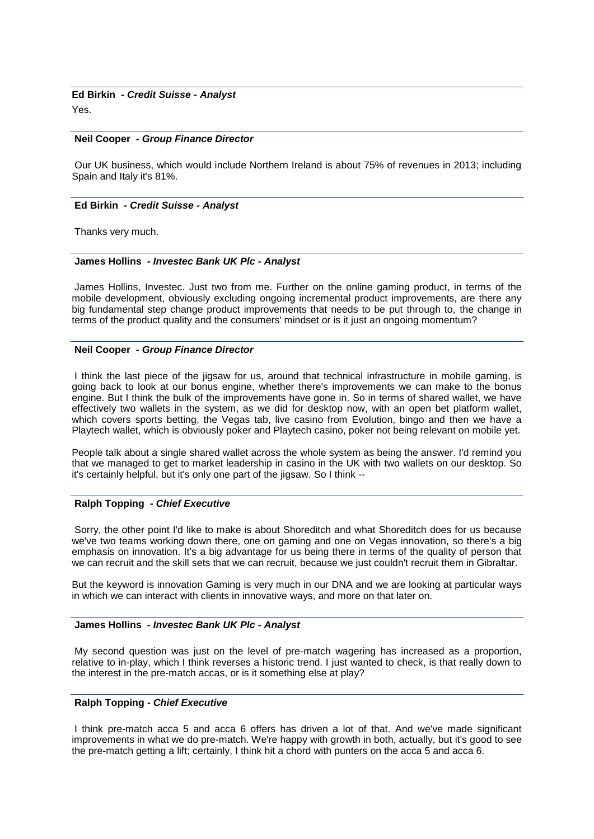# **Ed Birkin** *- Credit Suisse - Analyst*

Yes.

#### **Neil Cooper** *- Group Finance Director*

Our UK business, which would include Northern Ireland is about 75% of revenues in 2013; including Spain and Italy it's 81%.

#### **Ed Birkin** *- Credit Suisse - Analyst*

Thanks very much.

## **James Hollins** *- Investec Bank UK Plc - Analyst*

James Hollins, Investec. Just two from me. Further on the online gaming product, in terms of the mobile development, obviously excluding ongoing incremental product improvements, are there any big fundamental step change product improvements that needs to be put through to, the change in terms of the product quality and the consumers' mindset or is it just an ongoing momentum?

## **Neil Cooper** *- Group Finance Director*

I think the last piece of the jigsaw for us, around that technical infrastructure in mobile gaming, is going back to look at our bonus engine, whether there's improvements we can make to the bonus engine. But I think the bulk of the improvements have gone in. So in terms of shared wallet, we have effectively two wallets in the system, as we did for desktop now, with an open bet platform wallet, which covers sports betting, the Vegas tab, live casino from Evolution, bingo and then we have a Playtech wallet, which is obviously poker and Playtech casino, poker not being relevant on mobile yet.

People talk about a single shared wallet across the whole system as being the answer. I'd remind you that we managed to get to market leadership in casino in the UK with two wallets on our desktop. So it's certainly helpful, but it's only one part of the jigsaw. So I think --

# **Ralph Topping** *- Chief Executive*

Sorry, the other point I'd like to make is about Shoreditch and what Shoreditch does for us because we've two teams working down there, one on gaming and one on Vegas innovation, so there's a big emphasis on innovation. It's a big advantage for us being there in terms of the quality of person that we can recruit and the skill sets that we can recruit, because we just couldn't recruit them in Gibraltar.

But the keyword is innovation Gaming is very much in our DNA and we are looking at particular ways in which we can interact with clients in innovative ways, and more on that later on.

#### **James Hollins** *- Investec Bank UK Plc - Analyst*

My second question was just on the level of pre-match wagering has increased as a proportion, relative to in-play, which I think reverses a historic trend. I just wanted to check, is that really down to the interest in the pre-match accas, or is it something else at play?

# **Ralph Topping** *- Chief Executive*

I think pre-match acca 5 and acca 6 offers has driven a lot of that. And we've made significant improvements in what we do pre-match. We're happy with growth in both, actually, but it's good to see the pre-match getting a lift; certainly, I think hit a chord with punters on the acca 5 and acca 6.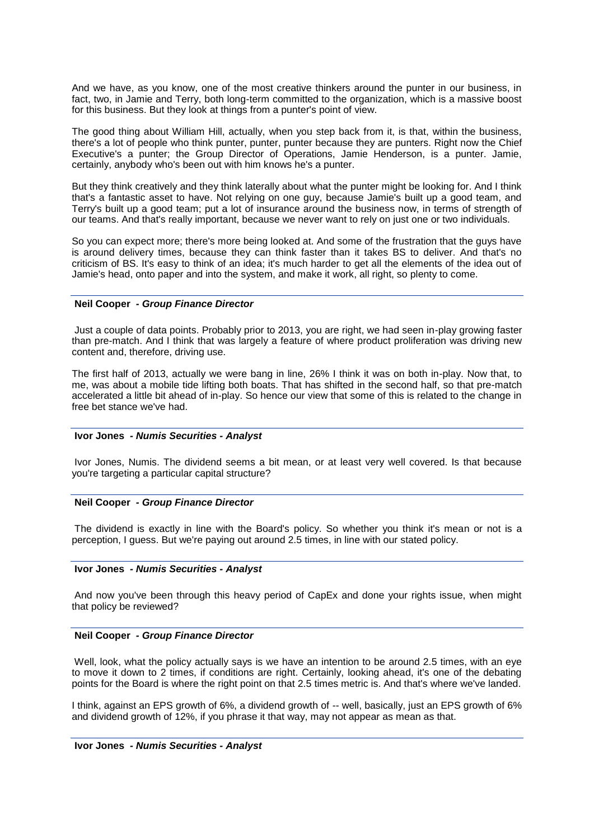And we have, as you know, one of the most creative thinkers around the punter in our business, in fact, two, in Jamie and Terry, both long-term committed to the organization, which is a massive boost for this business. But they look at things from a punter's point of view.

The good thing about William Hill, actually, when you step back from it, is that, within the business, there's a lot of people who think punter, punter, punter because they are punters. Right now the Chief Executive's a punter; the Group Director of Operations, Jamie Henderson, is a punter. Jamie, certainly, anybody who's been out with him knows he's a punter.

But they think creatively and they think laterally about what the punter might be looking for. And I think that's a fantastic asset to have. Not relying on one guy, because Jamie's built up a good team, and Terry's built up a good team; put a lot of insurance around the business now, in terms of strength of our teams. And that's really important, because we never want to rely on just one or two individuals.

So you can expect more; there's more being looked at. And some of the frustration that the guys have is around delivery times, because they can think faster than it takes BS to deliver. And that's no criticism of BS. It's easy to think of an idea; it's much harder to get all the elements of the idea out of Jamie's head, onto paper and into the system, and make it work, all right, so plenty to come.

# **Neil Cooper** *- Group Finance Director*

Just a couple of data points. Probably prior to 2013, you are right, we had seen in-play growing faster than pre-match. And I think that was largely a feature of where product proliferation was driving new content and, therefore, driving use.

The first half of 2013, actually we were bang in line, 26% I think it was on both in-play. Now that, to me, was about a mobile tide lifting both boats. That has shifted in the second half, so that pre-match accelerated a little bit ahead of in-play. So hence our view that some of this is related to the change in free bet stance we've had.

# **Ivor Jones** *- Numis Securities - Analyst*

Ivor Jones, Numis. The dividend seems a bit mean, or at least very well covered. Is that because you're targeting a particular capital structure?

# **Neil Cooper** *- Group Finance Director*

The dividend is exactly in line with the Board's policy. So whether you think it's mean or not is a perception, I guess. But we're paying out around 2.5 times, in line with our stated policy.

# **Ivor Jones** *- Numis Securities - Analyst*

And now you've been through this heavy period of CapEx and done your rights issue, when might that policy be reviewed?

# **Neil Cooper** *- Group Finance Director*

Well, look, what the policy actually says is we have an intention to be around 2.5 times, with an eye to move it down to 2 times, if conditions are right. Certainly, looking ahead, it's one of the debating points for the Board is where the right point on that 2.5 times metric is. And that's where we've landed.

I think, against an EPS growth of 6%, a dividend growth of -- well, basically, just an EPS growth of 6% and dividend growth of 12%, if you phrase it that way, may not appear as mean as that.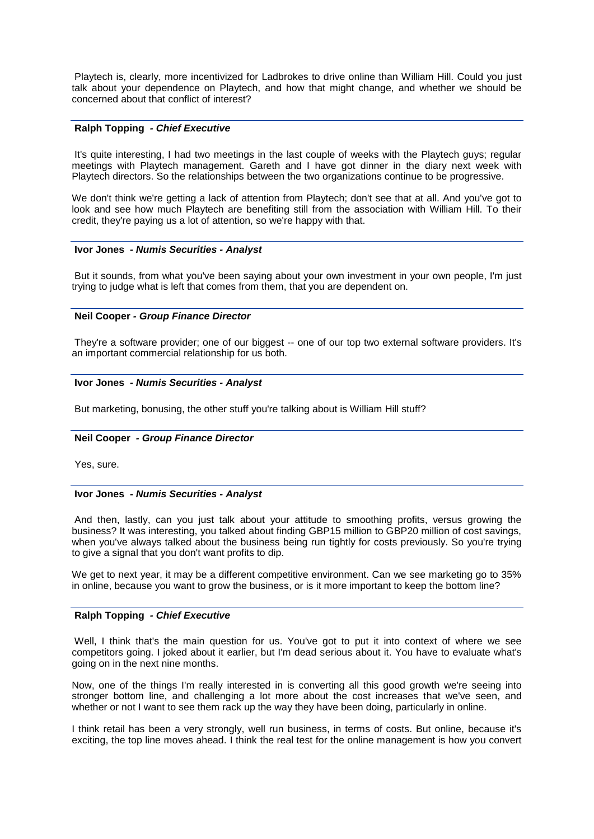Playtech is, clearly, more incentivized for Ladbrokes to drive online than William Hill. Could you just talk about your dependence on Playtech, and how that might change, and whether we should be concerned about that conflict of interest?

# **Ralph Topping** *- Chief Executive*

It's quite interesting, I had two meetings in the last couple of weeks with the Playtech guys; regular meetings with Playtech management. Gareth and I have got dinner in the diary next week with Playtech directors. So the relationships between the two organizations continue to be progressive.

We don't think we're getting a lack of attention from Playtech; don't see that at all. And you've got to look and see how much Playtech are benefiting still from the association with William Hill. To their credit, they're paying us a lot of attention, so we're happy with that.

#### **Ivor Jones** *- Numis Securities - Analyst*

But it sounds, from what you've been saying about your own investment in your own people, I'm just trying to judge what is left that comes from them, that you are dependent on.

## **Neil Cooper** *- Group Finance Director*

They're a software provider; one of our biggest -- one of our top two external software providers. It's an important commercial relationship for us both.

## **Ivor Jones** *- Numis Securities - Analyst*

But marketing, bonusing, the other stuff you're talking about is William Hill stuff?

# **Neil Cooper** *- Group Finance Director*

Yes, sure.

## **Ivor Jones** *- Numis Securities - Analyst*

And then, lastly, can you just talk about your attitude to smoothing profits, versus growing the business? It was interesting, you talked about finding GBP15 million to GBP20 million of cost savings, when you've always talked about the business being run tightly for costs previously. So you're trying to give a signal that you don't want profits to dip.

We get to next year, it may be a different competitive environment. Can we see marketing go to 35% in online, because you want to grow the business, or is it more important to keep the bottom line?

# **Ralph Topping** *- Chief Executive*

Well, I think that's the main question for us. You've got to put it into context of where we see competitors going. I joked about it earlier, but I'm dead serious about it. You have to evaluate what's going on in the next nine months.

Now, one of the things I'm really interested in is converting all this good growth we're seeing into stronger bottom line, and challenging a lot more about the cost increases that we've seen, and whether or not I want to see them rack up the way they have been doing, particularly in online.

I think retail has been a very strongly, well run business, in terms of costs. But online, because it's exciting, the top line moves ahead. I think the real test for the online management is how you convert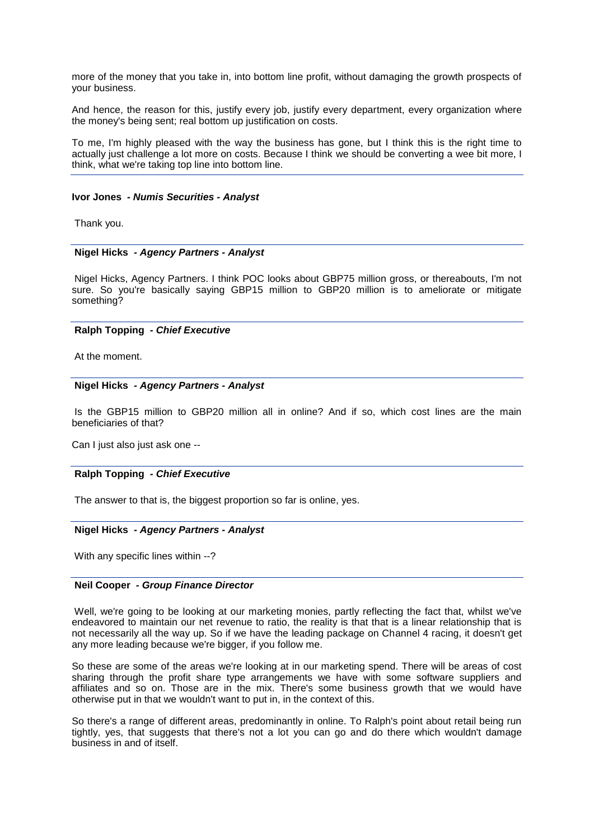more of the money that you take in, into bottom line profit, without damaging the growth prospects of your business.

And hence, the reason for this, justify every job, justify every department, every organization where the money's being sent; real bottom up justification on costs.

To me, I'm highly pleased with the way the business has gone, but I think this is the right time to actually just challenge a lot more on costs. Because I think we should be converting a wee bit more, I think, what we're taking top line into bottom line.

#### **Ivor Jones** *- Numis Securities - Analyst*

Thank you.

## **Nigel Hicks** *- Agency Partners - Analyst*

Nigel Hicks, Agency Partners. I think POC looks about GBP75 million gross, or thereabouts, I'm not sure. So you're basically saying GBP15 million to GBP20 million is to ameliorate or mitigate something?

## **Ralph Topping** *- Chief Executive*

At the moment.

## **Nigel Hicks** *- Agency Partners - Analyst*

Is the GBP15 million to GBP20 million all in online? And if so, which cost lines are the main beneficiaries of that?

Can I just also just ask one --

# **Ralph Topping** *- Chief Executive*

The answer to that is, the biggest proportion so far is online, yes.

## **Nigel Hicks** *- Agency Partners - Analyst*

With any specific lines within --?

## **Neil Cooper** *- Group Finance Director*

Well, we're going to be looking at our marketing monies, partly reflecting the fact that, whilst we've endeavored to maintain our net revenue to ratio, the reality is that that is a linear relationship that is not necessarily all the way up. So if we have the leading package on Channel 4 racing, it doesn't get any more leading because we're bigger, if you follow me.

So these are some of the areas we're looking at in our marketing spend. There will be areas of cost sharing through the profit share type arrangements we have with some software suppliers and affiliates and so on. Those are in the mix. There's some business growth that we would have otherwise put in that we wouldn't want to put in, in the context of this.

So there's a range of different areas, predominantly in online. To Ralph's point about retail being run tightly, yes, that suggests that there's not a lot you can go and do there which wouldn't damage business in and of itself.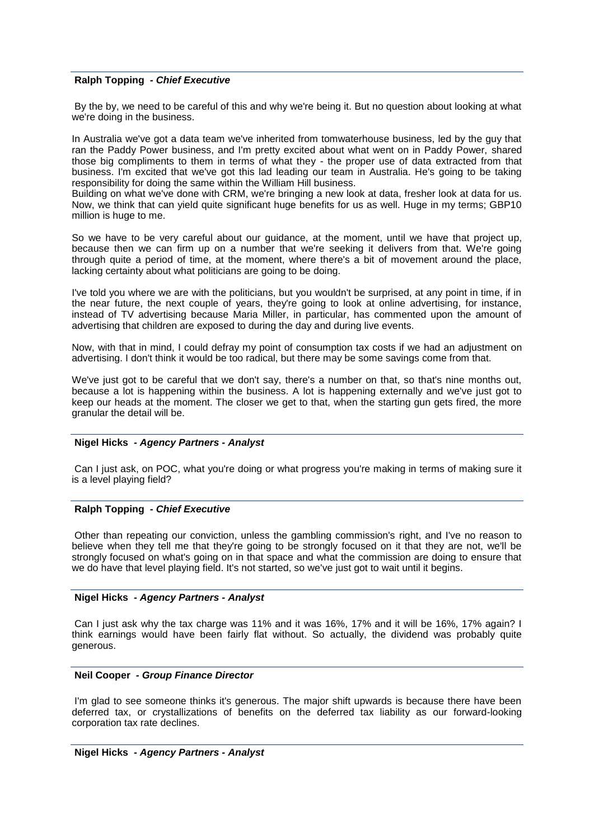## **Ralph Topping** *- Chief Executive*

By the by, we need to be careful of this and why we're being it. But no question about looking at what we're doing in the business.

In Australia we've got a data team we've inherited from tomwaterhouse business, led by the guy that ran the Paddy Power business, and I'm pretty excited about what went on in Paddy Power, shared those big compliments to them in terms of what they - the proper use of data extracted from that business. I'm excited that we've got this lad leading our team in Australia. He's going to be taking responsibility for doing the same within the William Hill business.

Building on what we've done with CRM, we're bringing a new look at data, fresher look at data for us. Now, we think that can yield quite significant huge benefits for us as well. Huge in my terms; GBP10 million is huge to me.

So we have to be very careful about our guidance, at the moment, until we have that project up, because then we can firm up on a number that we're seeking it delivers from that. We're going through quite a period of time, at the moment, where there's a bit of movement around the place, lacking certainty about what politicians are going to be doing.

I've told you where we are with the politicians, but you wouldn't be surprised, at any point in time, if in the near future, the next couple of years, they're going to look at online advertising, for instance, instead of TV advertising because Maria Miller, in particular, has commented upon the amount of advertising that children are exposed to during the day and during live events.

Now, with that in mind, I could defray my point of consumption tax costs if we had an adjustment on advertising. I don't think it would be too radical, but there may be some savings come from that.

We've just got to be careful that we don't say, there's a number on that, so that's nine months out, because a lot is happening within the business. A lot is happening externally and we've just got to keep our heads at the moment. The closer we get to that, when the starting gun gets fired, the more granular the detail will be.

# **Nigel Hicks** *- Agency Partners - Analyst*

Can I just ask, on POC, what you're doing or what progress you're making in terms of making sure it is a level playing field?

# **Ralph Topping** *- Chief Executive*

Other than repeating our conviction, unless the gambling commission's right, and I've no reason to believe when they tell me that they're going to be strongly focused on it that they are not, we'll be strongly focused on what's going on in that space and what the commission are doing to ensure that we do have that level playing field. It's not started, so we've just got to wait until it begins.

# **Nigel Hicks** *- Agency Partners - Analyst*

Can I just ask why the tax charge was 11% and it was 16%, 17% and it will be 16%, 17% again? I think earnings would have been fairly flat without. So actually, the dividend was probably quite generous.

# **Neil Cooper** *- Group Finance Director*

I'm glad to see someone thinks it's generous. The major shift upwards is because there have been deferred tax, or crystallizations of benefits on the deferred tax liability as our forward-looking corporation tax rate declines.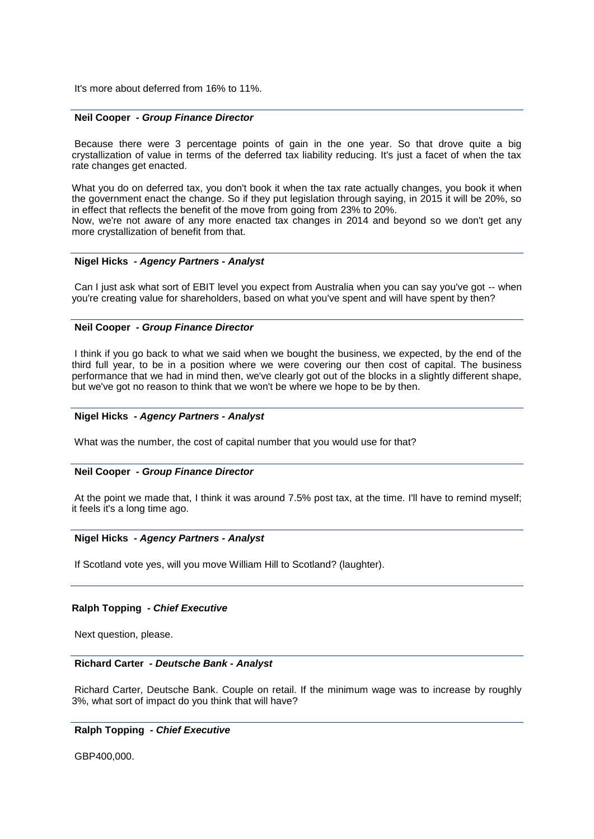It's more about deferred from 16% to 11%.

#### **Neil Cooper** *- Group Finance Director*

Because there were 3 percentage points of gain in the one year. So that drove quite a big crystallization of value in terms of the deferred tax liability reducing. It's just a facet of when the tax rate changes get enacted.

What you do on deferred tax, you don't book it when the tax rate actually changes, you book it when the government enact the change. So if they put legislation through saying, in 2015 it will be 20%, so in effect that reflects the benefit of the move from going from 23% to 20%.

Now, we're not aware of any more enacted tax changes in 2014 and beyond so we don't get any more crystallization of benefit from that.

## **Nigel Hicks** *- Agency Partners - Analyst*

Can I just ask what sort of EBIT level you expect from Australia when you can say you've got -- when you're creating value for shareholders, based on what you've spent and will have spent by then?

## **Neil Cooper** *- Group Finance Director*

I think if you go back to what we said when we bought the business, we expected, by the end of the third full year, to be in a position where we were covering our then cost of capital. The business performance that we had in mind then, we've clearly got out of the blocks in a slightly different shape, but we've got no reason to think that we won't be where we hope to be by then.

#### **Nigel Hicks** *- Agency Partners - Analyst*

What was the number, the cost of capital number that you would use for that?

#### **Neil Cooper** *- Group Finance Director*

At the point we made that, I think it was around 7.5% post tax, at the time. I'll have to remind myself; it feels it's a long time ago.

# **Nigel Hicks** *- Agency Partners - Analyst*

If Scotland vote yes, will you move William Hill to Scotland? (laughter).

# **Ralph Topping** *- Chief Executive*

Next question, please.

# **Richard Carter** *- Deutsche Bank - Analyst*

Richard Carter, Deutsche Bank. Couple on retail. If the minimum wage was to increase by roughly 3%, what sort of impact do you think that will have?

# **Ralph Topping** *- Chief Executive*

GBP400,000.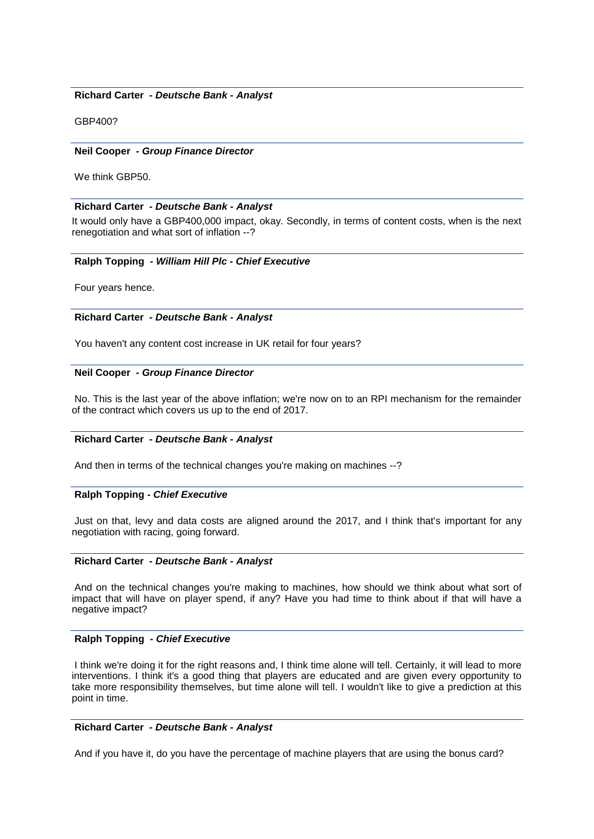# **Richard Carter** *- Deutsche Bank - Analyst*

GBP400?

# **Neil Cooper** *- Group Finance Director*

We think GBP50.

# **Richard Carter** *- Deutsche Bank - Analyst*

It would only have a GBP400,000 impact, okay. Secondly, in terms of content costs, when is the next renegotiation and what sort of inflation --?

# **Ralph Topping** *- William Hill Plc - Chief Executive*

Four years hence.

# **Richard Carter** *- Deutsche Bank - Analyst*

You haven't any content cost increase in UK retail for four years?

# **Neil Cooper** *- Group Finance Director*

No. This is the last year of the above inflation; we're now on to an RPI mechanism for the remainder of the contract which covers us up to the end of 2017.

# **Richard Carter** *- Deutsche Bank - Analyst*

And then in terms of the technical changes you're making on machines --?

# **Ralph Topping** *- Chief Executive*

Just on that, levy and data costs are aligned around the 2017, and I think that's important for any negotiation with racing, going forward.

# **Richard Carter** *- Deutsche Bank - Analyst*

And on the technical changes you're making to machines, how should we think about what sort of impact that will have on player spend, if any? Have you had time to think about if that will have a negative impact?

# **Ralph Topping** *- Chief Executive*

I think we're doing it for the right reasons and, I think time alone will tell. Certainly, it will lead to more interventions. I think it's a good thing that players are educated and are given every opportunity to take more responsibility themselves, but time alone will tell. I wouldn't like to give a prediction at this point in time.

# **Richard Carter** *- Deutsche Bank - Analyst*

And if you have it, do you have the percentage of machine players that are using the bonus card?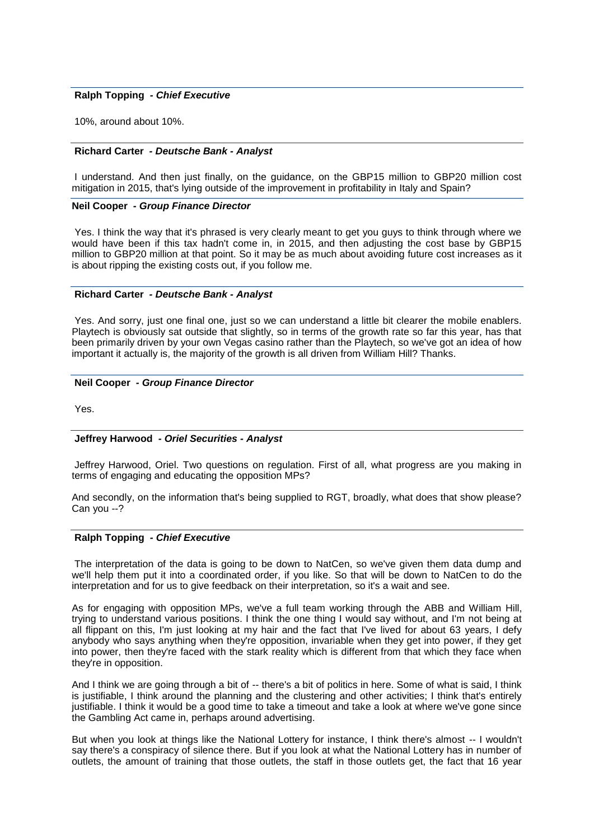## **Ralph Topping** *- Chief Executive*

10%, around about 10%.

## **Richard Carter** *- Deutsche Bank - Analyst*

I understand. And then just finally, on the guidance, on the GBP15 million to GBP20 million cost mitigation in 2015, that's lying outside of the improvement in profitability in Italy and Spain?

## **Neil Cooper** *- Group Finance Director*

Yes. I think the way that it's phrased is very clearly meant to get you guys to think through where we would have been if this tax hadn't come in, in 2015, and then adjusting the cost base by GBP15 million to GBP20 million at that point. So it may be as much about avoiding future cost increases as it is about ripping the existing costs out, if you follow me.

## **Richard Carter** *- Deutsche Bank - Analyst*

Yes. And sorry, just one final one, just so we can understand a little bit clearer the mobile enablers. Playtech is obviously sat outside that slightly, so in terms of the growth rate so far this year, has that been primarily driven by your own Vegas casino rather than the Playtech, so we've got an idea of how important it actually is, the majority of the growth is all driven from William Hill? Thanks.

## **Neil Cooper** *- Group Finance Director*

Yes.

#### **Jeffrey Harwood** *- Oriel Securities - Analyst*

Jeffrey Harwood, Oriel. Two questions on regulation. First of all, what progress are you making in terms of engaging and educating the opposition MPs?

And secondly, on the information that's being supplied to RGT, broadly, what does that show please? Can you --?

#### **Ralph Topping** *- Chief Executive*

The interpretation of the data is going to be down to NatCen, so we've given them data dump and we'll help them put it into a coordinated order, if you like. So that will be down to NatCen to do the interpretation and for us to give feedback on their interpretation, so it's a wait and see.

As for engaging with opposition MPs, we've a full team working through the ABB and William Hill, trying to understand various positions. I think the one thing I would say without, and I'm not being at all flippant on this, I'm just looking at my hair and the fact that I've lived for about 63 years, I defy anybody who says anything when they're opposition, invariable when they get into power, if they get into power, then they're faced with the stark reality which is different from that which they face when they're in opposition.

And I think we are going through a bit of -- there's a bit of politics in here. Some of what is said, I think is justifiable, I think around the planning and the clustering and other activities; I think that's entirely justifiable. I think it would be a good time to take a timeout and take a look at where we've gone since the Gambling Act came in, perhaps around advertising.

But when you look at things like the National Lottery for instance, I think there's almost -- I wouldn't say there's a conspiracy of silence there. But if you look at what the National Lottery has in number of outlets, the amount of training that those outlets, the staff in those outlets get, the fact that 16 year